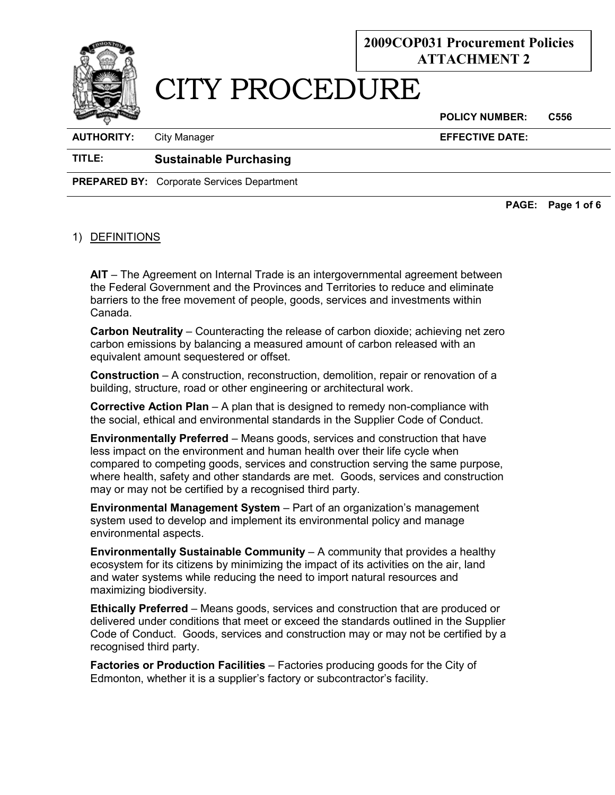

#### **POLICY NUMBER: C556**

**AUTHORITY:** City Manager **EFFECTIVE DATE:**

**TITLE: Sustainable Purchasing** 

**PREPARED BY:** Corporate Services Department

**PAGE: Page 1 of 6** 

## 1) DEFINITIONS

**AIT** – The Agreement on Internal Trade is an intergovernmental agreement between the Federal Government and the Provinces and Territories to reduce and eliminate barriers to the free movement of people, goods, services and investments within Canada.

**Carbon Neutrality** – Counteracting the release of carbon dioxide; achieving net zero carbon emissions by balancing a measured amount of carbon released with an equivalent amount sequestered or offset.

**Construction** – A construction, reconstruction, demolition, repair or renovation of a building, structure, road or other engineering or architectural work.

**Corrective Action Plan** – A plan that is designed to remedy non-compliance with the social, ethical and environmental standards in the Supplier Code of Conduct.

**Environmentally Preferred** – Means goods, services and construction that have less impact on the environment and human health over their life cycle when compared to competing goods, services and construction serving the same purpose, where health, safety and other standards are met. Goods, services and construction may or may not be certified by a recognised third party.

**Environmental Management System** – Part of an organization's management system used to develop and implement its environmental policy and manage environmental aspects.

**Environmentally Sustainable Community** – A community that provides a healthy ecosystem for its citizens by minimizing the impact of its activities on the air, land and water systems while reducing the need to import natural resources and maximizing biodiversity.

**Ethically Preferred** – Means goods, services and construction that are produced or delivered under conditions that meet or exceed the standards outlined in the Supplier Code of Conduct. Goods, services and construction may or may not be certified by a recognised third party.

**Factories or Production Facilities** – Factories producing goods for the City of Edmonton, whether it is a supplier's factory or subcontractor's facility.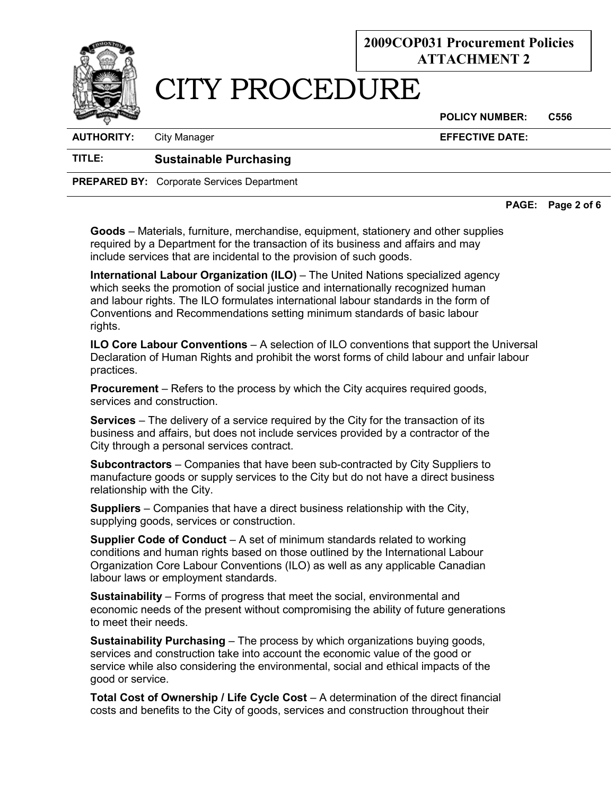

# CITY PROCEDURE

**POLICY NUMBER: C556** 

**AUTHORITY:** City Manager **EFFECTIVE DATE:**

### **TITLE: Sustainable Purchasing**

**PREPARED BY:** Corporate Services Department

**PAGE: Page 2 of 6** 

**Goods** – Materials, furniture, merchandise, equipment, stationery and other supplies required by a Department for the transaction of its business and affairs and may include services that are incidental to the provision of such goods.

**International Labour Organization (ILO)** – The United Nations specialized agency which seeks the promotion of social justice and internationally recognized human and labour rights. The ILO formulates international labour standards in the form of Conventions and Recommendations setting minimum standards of basic labour rights.

**ILO Core Labour Conventions** – A selection of ILO conventions that support the Universal Declaration of Human Rights and prohibit the worst forms of child labour and unfair labour practices.

**Procurement** – Refers to the process by which the City acquires required goods, services and construction.

**Services** – The delivery of a service required by the City for the transaction of its business and affairs, but does not include services provided by a contractor of the City through a personal services contract.

**Subcontractors** – Companies that have been sub-contracted by City Suppliers to manufacture goods or supply services to the City but do not have a direct business relationship with the City.

**Suppliers** – Companies that have a direct business relationship with the City, supplying goods, services or construction.

**Supplier Code of Conduct** – A set of minimum standards related to working conditions and human rights based on those outlined by the International Labour Organization Core Labour Conventions (ILO) as well as any applicable Canadian labour laws or employment standards.

**Sustainability** – Forms of progress that meet the social, environmental and economic needs of the present without compromising the ability of future generations to meet their needs.

**Sustainability Purchasing** – The process by which organizations buying goods, services and construction take into account the economic value of the good or service while also considering the environmental, social and ethical impacts of the good or service.

**Total Cost of Ownership / Life Cycle Cost** – A determination of the direct financial costs and benefits to the City of goods, services and construction throughout their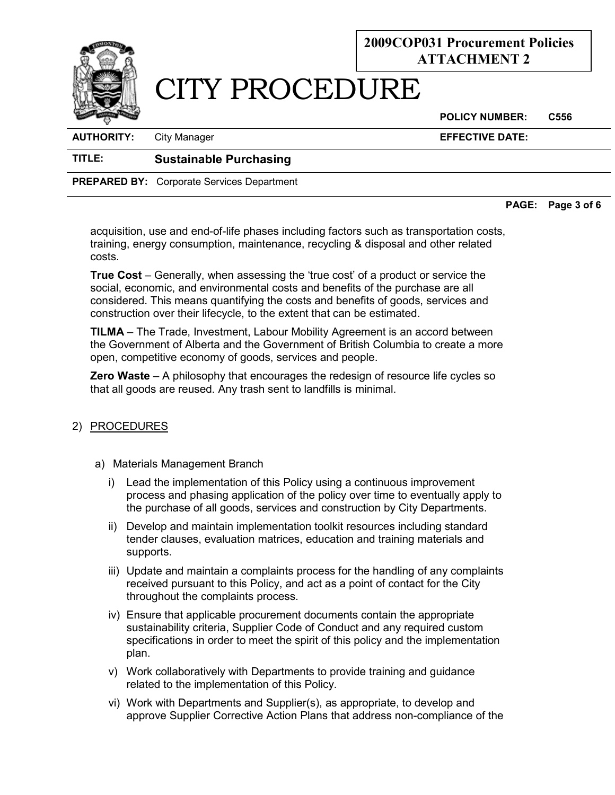

**AUTHORITY:** City Manager **EFFECTIVE DATE:**

## **TITLE: Sustainable Purchasing**

**PREPARED BY:** Corporate Services Department

**PAGE: Page 3 of 6** 

acquisition, use and end-of-life phases including factors such as transportation costs, training, energy consumption, maintenance, recycling & disposal and other related costs.

**True Cost** – Generally, when assessing the 'true cost' of a product or service the social, economic, and environmental costs and benefits of the purchase are all considered. This means quantifying the costs and benefits of goods, services and construction over their lifecycle, to the extent that can be estimated.

**TILMA** – The Trade, Investment, Labour Mobility Agreement is an accord between the Government of Alberta and the Government of British Columbia to create a more open, competitive economy of goods, services and people.

**Zero Waste** – A philosophy that encourages the redesign of resource life cycles so that all goods are reused. Any [trash](http://en.wikipedia.org/wiki/Trash) sent to landfills is minimal.

## 2) PROCEDURES

- a) Materials Management Branch
	- i) Lead the implementation of this Policy using a continuous improvement process and phasing application of the policy over time to eventually apply to the purchase of all goods, services and construction by City Departments.
	- ii) Develop and maintain implementation toolkit resources including standard tender clauses, evaluation matrices, education and training materials and supports.
	- iii) Update and maintain a complaints process for the handling of any complaints received pursuant to this Policy, and act as a point of contact for the City throughout the complaints process.
	- iv) Ensure that applicable procurement documents contain the appropriate sustainability criteria, Supplier Code of Conduct and any required custom specifications in order to meet the spirit of this policy and the implementation plan.
	- v) Work collaboratively with Departments to provide training and guidance related to the implementation of this Policy.
	- vi) Work with Departments and Supplier(s), as appropriate, to develop and approve Supplier Corrective Action Plans that address non-compliance of the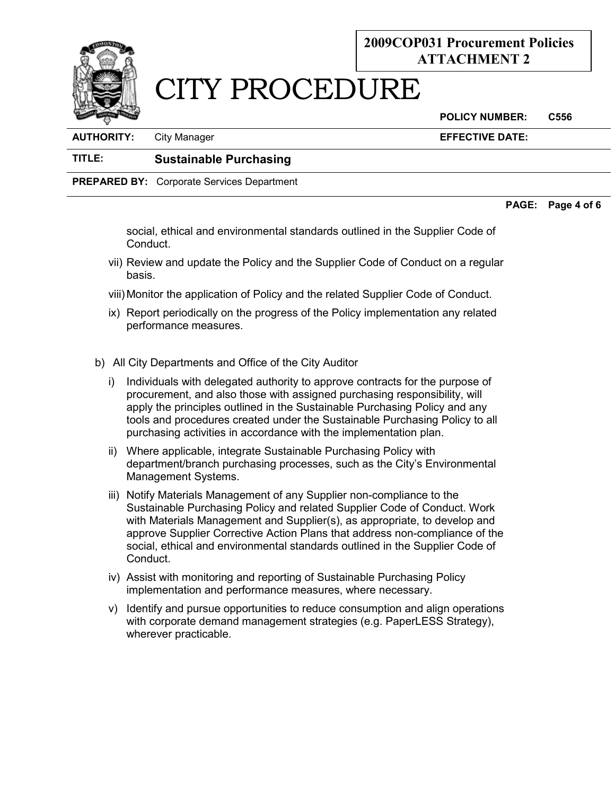

# CITY PROCEDURE

**POLICY NUMBER: C556** 

| <b>AUTHORITY:</b> | <b>City Manager</b> | <b>EFFECTIVE DATE:</b> |
|-------------------|---------------------|------------------------|
|                   |                     |                        |

## **TITLE: Sustainable Purchasing**

**PREPARED BY:** Corporate Services Department

### **PAGE: Page 4 of 6**

social, ethical and environmental standards outlined in the Supplier Code of Conduct.

- vii) Review and update the Policy and the Supplier Code of Conduct on a regular basis.
- viii) Monitor the application of Policy and the related Supplier Code of Conduct.
- ix) Report periodically on the progress of the Policy implementation any related performance measures.
- b) All City Departments and Office of the City Auditor
	- i) Individuals with delegated authority to approve contracts for the purpose of procurement, and also those with assigned purchasing responsibility, will apply the principles outlined in the Sustainable Purchasing Policy and any tools and procedures created under the Sustainable Purchasing Policy to all purchasing activities in accordance with the implementation plan.
	- ii) Where applicable, integrate Sustainable Purchasing Policy with department/branch purchasing processes, such as the City's Environmental Management Systems.
	- iii) Notify Materials Management of any Supplier non-compliance to the Sustainable Purchasing Policy and related Supplier Code of Conduct. Work with Materials Management and Supplier(s), as appropriate, to develop and approve Supplier Corrective Action Plans that address non-compliance of the social, ethical and environmental standards outlined in the Supplier Code of Conduct.
	- iv) Assist with monitoring and reporting of Sustainable Purchasing Policy implementation and performance measures, where necessary.
	- v) Identify and pursue opportunities to reduce consumption and align operations with corporate demand management strategies (e.g. PaperLESS Strategy), wherever practicable.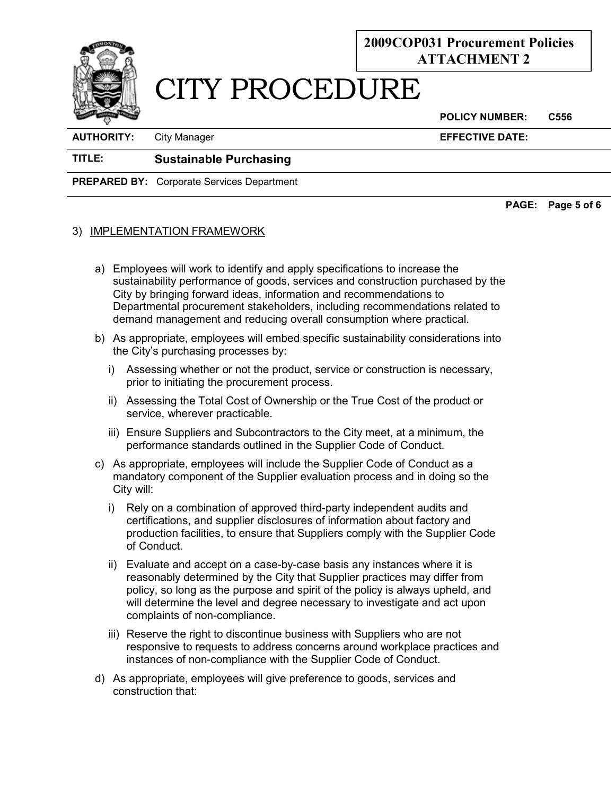

# CITY PROCEDURE

**POLICY NUMBER: C556** 

**AUTHORITY:** City Manager **EFFECTIVE DATE:**

### **TITLE: Sustainable Purchasing**

**PREPARED BY:** Corporate Services Department

**PAGE: Page 5 of 6** 

### 3) IMPLEMENTATION FRAMEWORK

- a) Employees will work to identify and apply specifications to increase the sustainability performance of goods, services and construction purchased by the City by bringing forward ideas, information and recommendations to Departmental procurement stakeholders, including recommendations related to demand management and reducing overall consumption where practical.
- b) As appropriate, employees will embed specific sustainability considerations into the City's purchasing processes by:
	- i) Assessing whether or not the product, service or construction is necessary, prior to initiating the procurement process.
	- ii) Assessing the Total Cost of Ownership or the True Cost of the product or service, wherever practicable.
	- iii) Ensure Suppliers and Subcontractors to the City meet, at a minimum, the performance standards outlined in the Supplier Code of Conduct.
- c) As appropriate, employees will include the Supplier Code of Conduct as a mandatory component of the Supplier evaluation process and in doing so the City will:
	- i) Rely on a combination of approved third-party independent audits and certifications, and supplier disclosures of information about factory and production facilities, to ensure that Suppliers comply with the Supplier Code of Conduct.
	- ii) Evaluate and accept on a case-by-case basis any instances where it is reasonably determined by the City that Supplier practices may differ from policy, so long as the purpose and spirit of the policy is always upheld, and will determine the level and degree necessary to investigate and act upon complaints of non-compliance.
	- iii) Reserve the right to discontinue business with Suppliers who are not responsive to requests to address concerns around workplace practices and instances of non-compliance with the Supplier Code of Conduct.
- d) As appropriate, employees will give preference to goods, services and construction that: